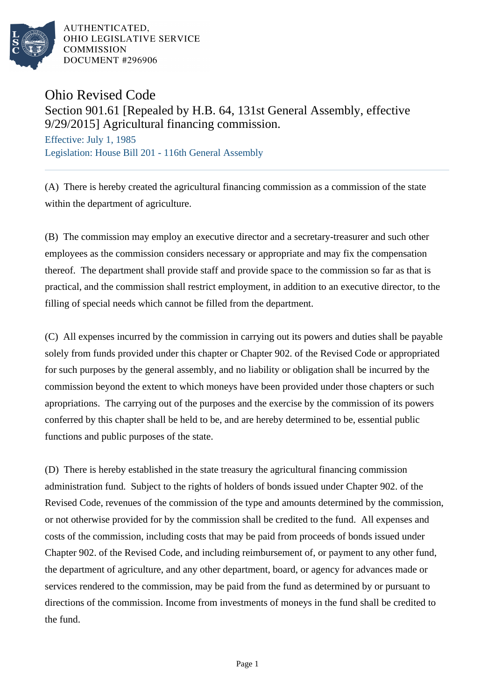

AUTHENTICATED. OHIO LEGISLATIVE SERVICE **COMMISSION DOCUMENT #296906** 

## Ohio Revised Code Section 901.61 [Repealed by H.B. 64, 131st General Assembly, effective 9/29/2015] Agricultural financing commission.

Effective: July 1, 1985 Legislation: House Bill 201 - 116th General Assembly

(A) There is hereby created the agricultural financing commission as a commission of the state within the department of agriculture.

(B) The commission may employ an executive director and a secretary-treasurer and such other employees as the commission considers necessary or appropriate and may fix the compensation thereof. The department shall provide staff and provide space to the commission so far as that is practical, and the commission shall restrict employment, in addition to an executive director, to the filling of special needs which cannot be filled from the department.

(C) All expenses incurred by the commission in carrying out its powers and duties shall be payable solely from funds provided under this chapter or Chapter 902. of the Revised Code or appropriated for such purposes by the general assembly, and no liability or obligation shall be incurred by the commission beyond the extent to which moneys have been provided under those chapters or such apropriations. The carrying out of the purposes and the exercise by the commission of its powers conferred by this chapter shall be held to be, and are hereby determined to be, essential public functions and public purposes of the state.

(D) There is hereby established in the state treasury the agricultural financing commission administration fund. Subject to the rights of holders of bonds issued under Chapter 902. of the Revised Code, revenues of the commission of the type and amounts determined by the commission, or not otherwise provided for by the commission shall be credited to the fund. All expenses and costs of the commission, including costs that may be paid from proceeds of bonds issued under Chapter 902. of the Revised Code, and including reimbursement of, or payment to any other fund, the department of agriculture, and any other department, board, or agency for advances made or services rendered to the commission, may be paid from the fund as determined by or pursuant to directions of the commission. Income from investments of moneys in the fund shall be credited to the fund.